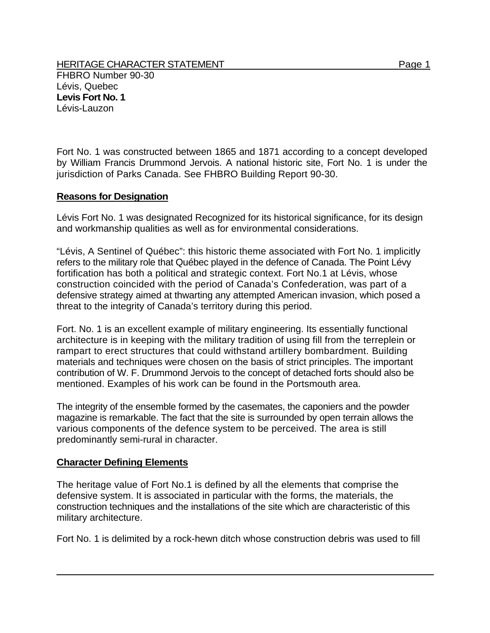HERITAGE CHARACTER STATEMENT FRIELD FOR A STATEMENT AND RAGE 1 FHBRO Number 90-30 Lévis, Quebec **Levis Fort No. 1**  Lévis-Lauzon

Fort No. 1 was constructed between 1865 and 1871 according to a concept developed by William Francis Drummond Jervois. A national historic site, Fort No. 1 is under the jurisdiction of Parks Canada. See FHBRO Building Report 90-30.

## **Reasons for Designation**

Lévis Fort No. 1 was designated Recognized for its historical significance, for its design and workmanship qualities as well as for environmental considerations.

"Lévis, A Sentinel of Québec": this historic theme associated with Fort No. 1 implicitly refers to the military role that Québec played in the defence of Canada. The Point Lévy fortification has both a political and strategic context. Fort No.1 at Lévis, whose construction coincided with the period of Canada's Confederation, was part of a defensive strategy aimed at thwarting any attempted American invasion, which posed a threat to the integrity of Canada's territory during this period.

Fort. No. 1 is an excellent example of military engineering. Its essentially functional architecture is in keeping with the military tradition of using fill from the terreplein or rampart to erect structures that could withstand artillery bombardment. Building materials and techniques were chosen on the basis of strict principles. The important contribution of W. F. Drummond Jervois to the concept of detached forts should also be mentioned. Examples of his work can be found in the Portsmouth area.

The integrity of the ensemble formed by the casemates, the caponiers and the powder magazine is remarkable. The fact that the site is surrounded by open terrain allows the various components of the defence system to be perceived. The area is still predominantly semi-rural in character.

## **Character Defining Elements**

The heritage value of Fort No.1 is defined by all the elements that comprise the defensive system. It is associated in particular with the forms, the materials, the construction techniques and the installations of the site which are characteristic of this military architecture.

Fort No. 1 is delimited by a rock-hewn ditch whose construction debris was used to fill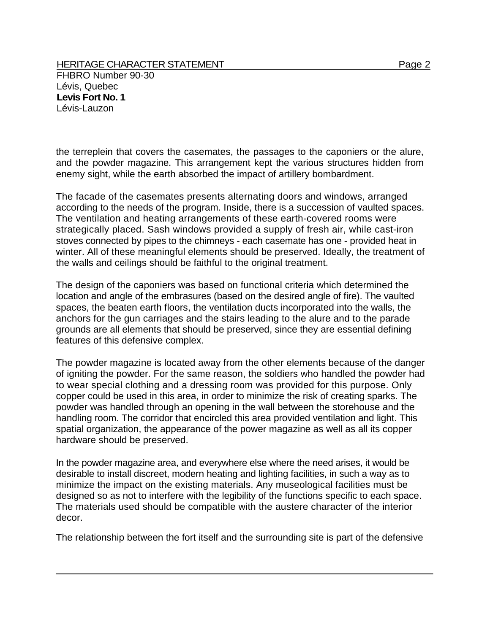HERITAGE CHARACTER STATEMENT FRIELD FOR A STATEMENT AND RAGE 2 FHBRO Number 90-30 Lévis, Quebec **Levis Fort No. 1**  Lévis-Lauzon

the terreplein that covers the casemates, the passages to the caponiers or the alure, and the powder magazine. This arrangement kept the various structures hidden from enemy sight, while the earth absorbed the impact of artillery bombardment.

The facade of the casemates presents alternating doors and windows, arranged according to the needs of the program. Inside, there is a succession of vaulted spaces. The ventilation and heating arrangements of these earth-covered rooms were strategically placed. Sash windows provided a supply of fresh air, while cast-iron stoves connected by pipes to the chimneys - each casemate has one - provided heat in winter. All of these meaningful elements should be preserved. Ideally, the treatment of the walls and ceilings should be faithful to the original treatment.

The design of the caponiers was based on functional criteria which determined the location and angle of the embrasures (based on the desired angle of fire). The vaulted spaces, the beaten earth floors, the ventilation ducts incorporated into the walls, the anchors for the gun carriages and the stairs leading to the alure and to the parade grounds are all elements that should be preserved, since they are essential defining features of this defensive complex.

The powder magazine is located away from the other elements because of the danger of igniting the powder. For the same reason, the soldiers who handled the powder had to wear special clothing and a dressing room was provided for this purpose. Only copper could be used in this area, in order to minimize the risk of creating sparks. The powder was handled through an opening in the wall between the storehouse and the handling room. The corridor that encircled this area provided ventilation and light. This spatial organization, the appearance of the power magazine as well as all its copper hardware should be preserved.

In the powder magazine area, and everywhere else where the need arises, it would be desirable to install discreet, modern heating and lighting facilities, in such a way as to minimize the impact on the existing materials. Any museological facilities must be designed so as not to interfere with the legibility of the functions specific to each space. The materials used should be compatible with the austere character of the interior decor.

The relationship between the fort itself and the surrounding site is part of the defensive